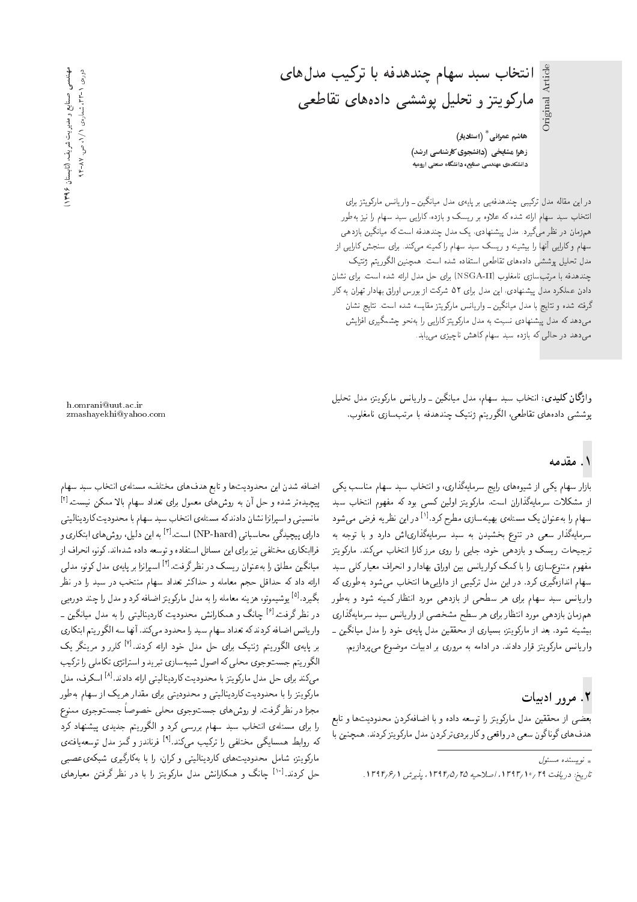هاشم عمرانی $^{\ast}$  (استادیار) زهرا مشایخی (دانشجوی کارشناسی ارشد) دانشکدهی مهندسی صنایح، دانشگاه صنعتی ارومیه

انتخاب سبد سهام چندهدفه با ترکیب مدل های

مارکویتز و تحلیل پوششی دادههای تقاطعی

دراین مقاله مدل ترکیبی چندهدفهیی بر پایهی مدل میانگین ــ واریانس مارکویتز برای انتخاب سبد سهام ارائه شده که علاوه بر ریسک و بازده، کارایی سبد سهام را نیز بهطور همزمان در نظر میگیرد. مدل پیشنهادی، یک مدل چندهدفه است که میانگین بازدهی سهام وکارایی آنها را ببیشینه و ریسک سبد سهام را کمینه میکند. برای سنجش کارایی از مدل تحليل پوششي دادههاى تقاطعي استفاده شده است. همچنين الگوريتم ژنتيک چندهدفه با مرتب سازی نامغلوب (NSGA-II) برای حل مدل ارائه شده است. برای نشان دادن عملکرد مدل پیشنهادی، این مدل برای ۵۲ شرکت از بورس اوراق بهادار تهران به کار گرفته شده و نتاییج با مدل میانگین ــ واریانس مارکویتز مقایسه شده است. نتاییج نشان میدهد که مدل پیشنهادی نسبت به مدل مارکویتزکارایی را بهنحو چشمگیری افزایش میدهد در حالی که بازده سبد سهام کاهش ناچیزی می یابد.

وا**ژگان کلیدی:** انتخاب سبد سهام، مدل میانگین ـ واریانس مارکویتز، مدل تحلیل پوششی دادههای تقاطعی، الگوریتم ژنتیک چندهدفه با مرتب سازی نامغلوب.

### ۱. مقدمه

بازار سهام یکی از شیوههای رایج سرمایهگذاری، و انتخاب سبد سهام مناسب یکی از مشکلات سرمایهگذاران است. مارکویتز اولین کسی بود که مفهوم انتخاب سبد سهام را به عنوان یک مسئله، بهینهسازی مطرح کرد.<sup>[۱]</sup> در این نظریه فرض می شود<br>ایران این سرمایهگذار سعی در تنوع بخشیدن به سبد سرمایهگذاری|ش دارد و با توجه به ترجیحات ریسک و بازدهی خود، جایی را روی مرز کارا انتخاب میکند. مارکویتز مفهوم متنوع سازى را با كمک كواريانس بين اوراق بهادار و انحراف معيار كلى سبد سهام اندازهگیری کرد. در این مدل ترکیبی از دارایی ها انتخاب می شود بهطوری که واریانس سبد سهام برای هر سطحی از بازدهی مورد انتظار کمینه شود و بهطور همزمان بازدهی مورد انتظار برای هر سطح مشخصی از وار یانس سبد سرمایهگذاری بیشینه شود. بعد از مارکویتز، بسیاری از محققین مدل پایهی خود را مدل میانگین ـ واریانس مارکویتز قرار دادند. در ادامه به مروری بر ادبیات موضوع می پردازیم.

# ۲. مرور ادبیات

بعضی از محققین مدل مارکویتز را توسعه داده و با اضافهکردن محدودیتها و تابع هدفهای گوناگون سعی در واقعی و کار بردیتر کردن مدل مارکویتز کردند. همچنین با

h.omrani@uut.ac.ir zmashayekhi@yahoo.com

اضافه شدن این محدودیتها و تابع هدفهای مختلف، مسئلهی انتخاب سبد سهام پیچیدهتر شده و حل آن به روشهای معمول برای تعداد سهام بالا ممکن نیست.<sup>[۲]</sup><br>بازی در بای ازاده ایران کو سویل استان مانسینی و اسپرانزا نشان دادند که مسئلهی انتخاب سبد سهام با محدودیت کاردینالیتی دارای پیچیدگی محاسباتی (NP-hard) است.<sup>ا۳]</sup> به این دلیل، روش های ابتکاری و<br>تاریخ است. فراابتکاری مختلفی نیز برای این مسائل استفاده و توسعه داده شدهاند. کونو، انحراف از میانگین مطلق را بهعنوان ریسک در نظرگرفت.<sup>[۴]</sup> اسپرانزا بر پایهی مدل کونو، مدل<sub>می</sub><br>ایلمنطق کرده اتا ارائه داد که حداقل حجم معامله و حداکثر تعداد سهام منتخب در سبد را در نظر بگیرد.<sup>[2]</sup> یوشیموتو، هزینه معامله را به مدل مارکویتز اضافه کرد و مدل را چند دورهیبی<br>برای تراریخ اعلی ایران در نظرگرفت.<sup>[۶]</sup> چانگ و همکارانش محدودیت کاردینالیتی را به مدل میانگین ـ<br>اساس ایران کردن کردن ا واريانس اضافه كردندكه تعداد سهام سبد را محدود مىكند. آنها سه الگوريتم ابتكارى بر پایهی الگوریتم ژنتیک برای حل مدل خود ارائه کردند.<sup>[۷]</sup> کلرر و مرینگر یک<br>الگ الگوریتم جستوجوی محلی که اصول شبیهسازی تبرید و استراتژی تکاملی را ترکیب میکند برای حل مدل مارکویتز با محدودیت کاردینالیتی ارائه دادند.<sup>[4]</sup> اسکرف، مدل<br>پاکست با با بیشتری و کارستان و بازیکند و میتوانیست مارکویتز را با محدودیت کاردینالیتی و محدودیتی برای مقدار هریک از سهام به طور مجزا در نظرگرفت. او روشهای جستوجوی محلمی خصوصاً جستوجوی ممنوع<br>را برای مسئلهی انتخاب سبد سهام بررسی کرد و الگوریتم جدیدی پیشنهاد کرد را برای مستلهی اسحاب سبد سهام بررسی درد و اندوریسم جدیدی پیستهاد درد<br>که روابط همسایگ به مختلف ارا ترکیب مه کند.<sup>[9]</sup> فرناند: و گمز مدل توسعهافتهی له روابط همسایدی محتلفی را ترتیب می تند. به قریاندر و تمر مدل توسعه یافته ی<br>با کمی سلسل اسکان اسکان اسلام اسکان اسکان اسکان می در م مارتویتر، سامل محدودیتهای تاردینالیبی و تران، را با بهدارتیری سبکهی عصبی<br>ساحت ال<sup>و</sup>ال ایک حل کردند.<sup>[۱۰]</sup> چانگ و همکارانش مدل مارکویتز را با در نظر گرفتن معیارهای<br>.

<sup>»</sup> نويسنده مسئول تاريخ: دريافت ٢٩ /١٣٩٣, اصلاحيه ٢٥ /١٣٩٤، يذيرش ١٣٩٢/١.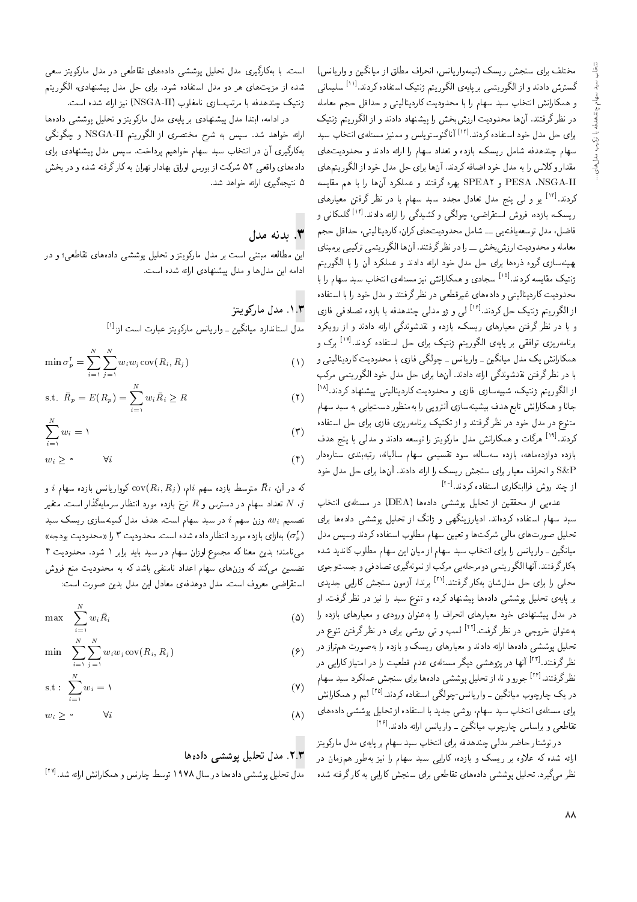مختلف برای سنجش ریسک (نیمهواریانس، انحراف مطلق از میانگین و واریانس) گسترش دادند و از الگوریتمی بر پایه ی الگوریتم ژنتیک استفاده کردند.<sup>[۱۱]</sup> سلیمانی<br>کاراند بایدنا و همکارانش انتخاب سبد سهام را با محدودیت کاردینالیتی و حداقل حجم معامله در نظر گرفتند. آنها محدودیت ارزشبخش را پیشنهاد دادند و از الگوریتم ژنتیک برای حل مدل خود استفاده کردند.<sup>[۱۲]</sup> آناگنوستوپلس و ممنیز مسئلهی انتخاب سبد<br>استفاده استفاده کردند سهام چندهدفه شامل ریسک، بازده و تعداد سهام را ارائه دادند و محدودیتهای مقدار وكلاس را به مدل خود اضافه كردند. آنها براي حل مدل خود از الگوريتمهاي PESA ،NSGA-II و SPEA۲ بهره گرفتند و عملكرد آنها را با هم مقايسه کردند.<sup>!۱۲]</sup> یو و ل<sub>می پ</sub>نج مدل تعادل مجدد سبد سهام با در نظر گرفتن معیارهای<br>کردند کاری می باید و این ساید و انجمن کرد گرم ارا و باید ازاکر کند ریسک، بازده، فروس استفراصی، چونگی و تسیدگی را ارائه دادند.<br>تاریخ مطبقی استفرانسی استفراد استفراد که استفراد استفراد ریسک، بازده، فروش استقراضی، چولگی و کشیدگی را ارائه دادند.<sup>[۱۴]</sup> گلمکانی و sHL pk=OL '|D}r=v}OQ=m 'u=Qm |=yC}OwOLt pt=W |}xDi=}xaUwD pOt 'p[=i معامله و محلودیت ارزس بحس ــ را در نظر درقسد. آن ها انگوریسی برنتیبی برمبتای<br>مسلمان است که است و است است است است است و است است که است الله که به بهینهسازی گروه ذرهها برای حل مدل خود ارائه دادند و عملکرد آن را با الگوریتم زنتیک مقایسه دردند.<br>ترسیک مقایسه دردند.<br>کامیسالمیسانی و سالمان میانم استفاده و اصطلاح استفاده و اصلاح استفاده استفاده و استفاده و استفاده و ژنتیک مقایسه کردند.<sup>[۱۵]</sup> سجادی و همکارانش نیز مسئلهی انتخاب سبد سهام را با محدودیت داردینایینی و دادههای عیرفضعی در نظر درفتند و مدل خود را با استفاده<br>استانچک از الگوریتم ژنتیک حل کردند.<sup>[۱۶]</sup> لی و ژو مدلی چندهدفه با بازده تصادفی فازی<br>استفاده استفاده میشود و استفاده کردند. و با در نصر ترفین معیارهای ریست، بارده و نقدسوندنی آرانه دادند و از رویدرد<br>ماسیس ساخت سال ساخت می بند که سال سالمان و الکاکم می ا برنامەريزى توافقى بر پايەى الگوريتم ژنتيک براى حل استفادە كردند.<sup>[۱۷]</sup> برک و<br>مىللىنىڭ كىلىنىڭ مىللىگ همکارانش یک مدل میانگین ــ واریانس ــ چولگی فازی با محدودیت کاردینالیتی و<br>با در نظرگرفتن نقدشوندگی ارائه دادند. آن&ا برای حل مدل خود الگوریتمی مرکب با در نظر درفتن نفدسوندنی ارائه دادند. آن۱۵ برای خل مدل خود اندوریسی مرتب<br>از الگوریتم ژنتیک، شبیهسازی فازی و محدودیت کاردینالیتی پیشنهاد کردند.<sup>[۱۸]</sup><br>انا جانا و همدارانس نابع هدف بیسیمسازی انتروپی را بهمنطور دست یابی به سبد سهام<br>سرحسن مطرح مسلم شکل می باشد و سال می کرد. مسوع در مدل خود در نصر درفسد و از نخسیت برنامهریزی فازی برای خل استفاده<br>محمد افزای گانگویی می کاراند می بارد و سایت و این می باید و سایت کردند.<sup>[۱۹]</sup> هرگات و همکارانش مدل مارکویتز را توسعه دادند و مدل<sub>ی</sub> با پنج هدف<br>ا بازده دوازدهاهه، بازده سهساله، سود نفسیمی سهام سالیانه، ریبهبندی سنارهدار<br>Qe:D S&P و انحراف معیار برای سنجش ریسک را ارائه دادند. آنها برای حل مدل خود<br>است میست که ایران استان که میداند؟ از چند روش فراابتکاری استفاده کردند.<sup>[\*\*]</sup><br>مصدر است

عدهیی از محققین از تحلیل پوششی دادهها (DEA) در مسئلهی انتخاب<br>سبد سهام استفاده کردهاند. ادیارزینگهی و ژانگ از تحلیل پوششی دادهها برای سبد سهام استفاده درده د. ادیارزیندهی و ژانگ از تحلیل پوسسی دادهها برای<br>- با استفاده در استفاده تحلیل صورت های مالی سرنب ها و تغیین سهام مطلوب استفاده دردند وسپس مدل<br>مانگ میانگین ـ واریانس را برای انتخاب سبد سهام از میان این سهام مطلوب کاندید شده بهكارگرفتند. آنها الگوريتمي دومرحله يي مركب از نمونهگيري تصادفي و جستوجوي محلی را برای حل مدل شان بهکار گرفتند.<sup>[۲۱]</sup> برندا، آزمون سنجش کارایی جدیدی<br>است برای میکند و استفاده استفاده برای میشود. w= "CiQo Q\_v QO R}v =Q O@U `wvD w xOQm O=yvW}B =yxO=O |WWwB p}rLD |x}=B Q@ در مدل پیستهادی خود معیارهای انحراف را به عنوان ورودی و معیارهای بازده را<br>مدل مدل میدا گیستان استک به عنوان خروجی در نظر گرفت.<sup>[۲۲]</sup> لعب و تی روشی برای در نظر گرفتن تنوع در<br>میابان میدند تحلیل یوششی دادهها ارائه دادند و معیارهای ریسک و بازده را بهصورت هم تراز در نظر گرفتند.<sup>[۲۲]</sup> آنها در یژوهشی دیگر مسئلهی عدم قطعیت را در امتیاز کارایی در تصر درقتند.<br>... ۶ - ... نظرگرفتند.<sup>[۲۲]</sup> جورو و نا، از تحلیل پوششی دادهها برای سنجش عملکرد سبد سهام<br>بحر اسلام استرات نیم و همداراس*ن*<br>. . . در یک چارچوب میانگین ــ واریانس-چولگی استفاده کردند.<sup>[۱۵]</sup><br>ا برای مستلهی اسحاب سید سهام، روسی جدید با استفاده از تحلیل پوسسی دادههای<br>--المصد المصد المصد است تقاطعی و براساس چارچوب میانگین ــ واریانس ارائه دادند.<sup>[۲۶]</sup><br>مقاطعی میسا

در نوستار حاصر مدلی چندهدفه برای اسحاب سید سهام بر پایهی مدل مارتو بیز<br>مدیر کو ایجا ارائه سده له علاوه بر ریسک و بارده، تارایی سبد سهام را نیز به طور هم زمان در<br>منابع کو سیا این مطلب این سیا این این مصر این مصر این مصر کرد کرد. نظر میگیرد. تحلیل پوششی دادههای تقاطعی برای سنجش کارایی به کارگرفته شده

است. با بهکارگیری مدل تحلیل پوششی دادههای تقاطعی در مدل مارکویتز سعی شده از مزیتهای هر دو مدل استفاده شود. برای حل مدل پیشنهادی، الگوریتم ژنتیک چندهدفه با مرتب $\omega$ ازی نامغلوب (NSGA-II) نیز ارائه شده است.<br>در ادامه، ابتدا مدل پیشنهادی بر پایهی مدل مارکویتز و تحلیل بوششمی دادهها

در ادامه، ابتدا مدل پیستهادی بر پایهی مدل مارتویتر و تحتیل پوسسی دادهها<br>مسلمان است. ارائه خواهد شد. سپس به شرح مختصری از الگوریتم NSGA-II و چگونگی<br>کاگ بهکارگیری آن در انتخاب سبد سهام خواهیم پرداخت. سپس مدل پیشنهادی برای دادههای واقعی ۵۲ شرکت از بورس اوراق بهادار تهران به کارگرفته شده و در بخش ۵ نتیجهگیری ارائه خواهد شد.

#### $\mathbf{y}$ . بدنه مدل

این مطالعه مبتنی است بر مدل مارکویتز و تحلیل یوششی دادههای تقاطعی؛ و در ادامه این مدلها و مدل پیشنهادی ارائه شده است.

#### **P. ا.** مدل مارکويتز

مدل استاندارد میانگین ــ واریانس مارکویتز عبارت است از:<sup>[۱]</sup><br>.

$$
\min \sigma_p^{\mathsf{t}} = \sum_{i=1}^{N} \sum_{j=1}^{N} w_i w_j \text{cov}(R_i, R_j) \tag{1}
$$

$$
\text{s.t. } \bar{R}_p = E(R_p) = \sum_{i=1}^N w_i \bar{R}_i \ge R \tag{1}
$$

$$
\sum_{i=1}^{N} w_i = 1 \tag{7}
$$

$$
w_i \geq \circ \qquad \forall i \tag{f}
$$

که در آن،  $\bar{R}_i$  متوسط بازده سهم  $i$ ام،  $\mathrm{cov}(R_i, R_j)$  کوواریانس بازده سهام  $i$  و تعداد سهام در دسترس و  $R$  نرخ بازده مورد انتظار سرمايهگذار است. متغير  $N$  ، $j$ تصمیم  $w_i$  وزن سهم  $i$  در سبد سهام است. هدف مدل کمینهسازی ریسک سبد ( «محدودیت ۳ رای بازده مورد انتظار داده شده است. محدودیت ۳ را «محدودیت بودجه»)<br>باید است باید میلی می نامند؛ بدین معنا که مجموع اوزان سهام در سبد باید برابر ۱ شود. محدودیت ۴ تضمین میکند که وزنهای سهام اعداد نامنفی باشد که به محدودیت منع فروش استقراضي معروف است. مدل دوهدفهي معادل اين مدل بدين صورت است:

$$
\max \sum_{i=1}^{N} w_i \bar{R}_i \tag{0}
$$

$$
\min \sum_{i=1}^{N} \sum_{j=1}^{N} w_i w_j \text{cov}(R_i, R_j) \tag{9}
$$

$$
s.t: \sum_{i=1}^{N} w_i = 1 \tag{V}
$$

$$
w_i \geq \circ \qquad \forall i \tag{A}
$$

#### ۰۲.۳ مدل تحلیل بوششی دادهها

مدل تحلیل پوششی دادهها در سال ۱۹۷۸ توسط چارنس و همکارانش ارائه شد.<sup>[۲۷]</sup>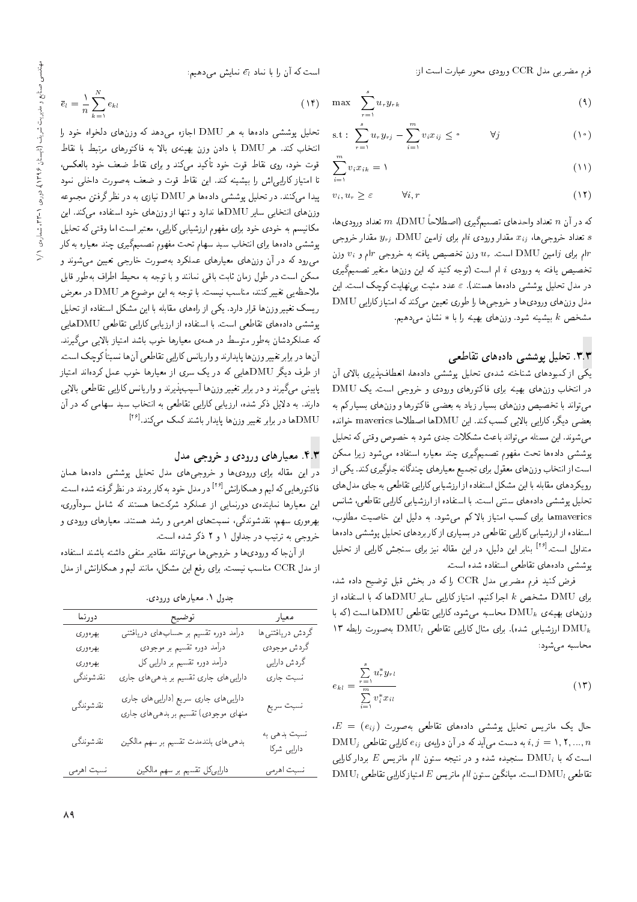فرم مضربي مدل CCR ورودي محور عبارت است از:

است که آن را با نماد  $\bar{e}_l$  نمایش میدهیم:

 $(Y<sup>2</sup>)$ 

$$
\max \sum_{r=1}^{s} u_r y_{rk} \tag{4}
$$

$$
s.t: \sum_{r=1}^{s} u_r y_{rj} - \sum_{i=1}^{m} v_i x_{ij} \leq \circ \qquad \forall j \qquad (\dagger \circ)
$$

$$
\sum_{i=1}^{m} v_i x_{ik} = 1 \tag{11}
$$

$$
v_i, u_r \ge \varepsilon \qquad \forall i, r \tag{11}
$$

كه در آن n تعداد واحدهاى تصميمگيرى (اصطلاحاً DMU)، m تعداد ورودىها، ، تعداد خروجی ها،  $x_{ij}$  مقدار ورودی  $i$ ام برای  $j$ امین DMU،  $y_{rj}$  مقدار خروجی ام برای ژامین DMU است.  $u_r$  وزن تخصیص یافته به خروجی  $r$ ام و  $v_i$  وزن $r$ تخصیص یافته به ورودی i ام است (توجه کنید که این وزنها متغیر تصمیمگیری در مدل تحلیل پوششی دادهها هستند). ٤ عدد مثبت بی نهایت کوچک است. این مدل وزن های ورودی ها و خروجی ها را طوری تعیین میکند که امتیاز کارایی DMU مشخص k بیشینه شود. وزنهای بهینه را با  $*$  نشان می دهیم.

#### ۳.۳. تحلیل پوششی دادههای تقاطعی

يكي از كمبودهاى شناخته شدهى تحليل پوششى دادهها، انعطاف پذيرى بالاى آن در انتخاب وزنهای بهینه برای فاکتورهای ورودی و خروجی است. یک DMU می،تواند با تخصیص وزنهای بسیار زیاد به بعضی فاکتورها و وزنهای بسیارکم به بعضي ديگر، كارايي بالايي كسب كند. اين DMUها اصطلاحا maverics خوانده می شوند. این مسئله می تواند باعث مشکلات جدی شود به خصوص وقتی که تحلیل پوششی دادهها تحت مفهوم تصمیمگیری چند معیاره استفاده میشود زیرا ممکن است از انتخاب وزن های معقول برای تجمیع معیارهای چندگانه جلوگیری کند. یکی از رویکردهای مقابله با این مشکل استفاده از ارزشیابی کارایی تقاطعی به جای مدل های تحلیل پوششی دادههای سنتی است. با استفاده از ارزشیابی کارایی تقاطعی، شانس mavericsها برای کسب امتیاز بالاکم میشود. به دلیل این خاصیت مطلوب، استفاده از ارزشیابی کارایی تقاطعی در بسیاری ازکاربردهای تحلیل پوششی دادهها متداول است.<sup>[۲۶]</sup> بنابر این دلیل، در این مقاله نیز برای سنجش کارایی از تحلیل پوششی دادههای تقاطعی استفاده شده است.

فرض کنید فرم مضربی مدل CCR را که در بخش قبل توضیح داده شد، برای DMU مشخص k اجرا کنیم. امتیاز کارایی سایر DMUها که با استفاده از وزن های بهمینهی  $\mathrm{DMU}_k$  محاسبه میشود، کارایی تقاطعی  $\mathrm{DMU}_k$ ها است (که با ارزشیابی شده). برای مثال کارایی تقاطعی DMU<sub>l</sub> به صورت رابطه ۱۳ محاسبه می شود:

$$
_{kl} = \frac{\sum\limits_{r=1}^{n} u_r^* y_{rl}}{\sum\limits_{i=1}^{m} v_i^* x_{il}}
$$
 (17)

 $E = (e_{ij})$  حال یک ماتریس تحلیل پوششی دادههای تقاطعی بهصورت  $\mathrm{DMU}_j$  به دست میآید که در آن درایهی  $e_{ij}$  کارایی تقاطعی  $i, j = 1, 7, ..., n$ است که با  $\mathrm{DMU}_i$  سنجیده شده و در نتیجه ستون  $l$ ام ماتریس  $E$  بردار کارایی  $\mathrm{DMU}_l$  تقاطعی  $\mathrm{DMU}_l$  است. میانگین ستون  $l$ ام ماتریس  $E$  امتیاز کارایی تقاطعی

 $=\frac{1}{n}\sum_{l=1}^{N}e_{kl}$ تحلیل پوششی دادهها به هر DMU اجازه میدهد که وزنهای دلخواه خو انتخاب کند. هر DMU با دادن وزن بهینهی بالا به فاکتورهای مرتبط با : قوت خود، روی نقاط قوت خود تأکید میکند و برای نقاط ضعف خود بالعک تا امتياز كارايي اش را بيشينه كند. اين نقاط قوت و ضعف به صورت داخلي پیدا مهکنند. در تحلیل یوششم دادهها هر DMU نیازی به در نظرگرفتن مجم وزن های انتخابی سایر DMUها ندارد و تنها از وزن های خود استفاده میکند. این مکانیسم به خودی خود برای مفهوم ارزشیابی کارایی، معتبر است اما وقتی که تحلیل پوششی دادهها برای انتخاب سبد سهام تحت مفهوم تصمیمگیری چند معیاره به کار می رود که در آن وزن های معیارهای عملکرد بهصورت خارجی تعیین می شوند و ممکن است در طول زمان ثابت باقی نمانند و با توجه به محیط اطراف بهطور قابل ملاحظه یی تغییرکنند، مناسب نیست. با توجه به این موضوع هر DMU در معرض ریسک تغییر وزن ها قرار دارد. یکی از راههای مقابله با این مشکل استفاده از تحلیل پوششی دادههای تقاطعی است. با استفاده از ارزیابی کارایی تقاطعی DMUهایی که عملکردشان بهطور متوسط در همهی معیارها خوب باشد امتیاز بالایی میگیرند. آنها در برابر تغییر وزنها پایدارند و واریانس کارایی تقاطعی آنها نسبتاً کوچک است. از طرف دیگر DMUهایی که در یک سری از معیارها خوب عمل کردهاند امتیاز پایینی میگیرند و در برابر تغییر وزن ها آسیبپذیرند و واریانس کارایی تقاطعی بالایی دارند. به دلایل ذکر شده، ارزیابی کارایی تقاطعی به انتخاب سبد سهامی که در آن ها در برابر تغییر وزن $\mu$  پایدار باشند کمک میکند. $\mathrm{DMU}$ 

#### ۴.۳. معیارهای ورودی و خروجی مدل

در این مقاله برای ورودیها و خروجیهای مدل تحلیل پوششی دادهها همان فاکتورهایی که لیم و همکارانش <sup>[۲۶]</sup> در مدل خود به کار بردند در نظر گرفته شده است. این معیارها نماینده، دورنمایی از عملکرد شرکتها هستند که شامل سودآوری، بهرهوری سهم، نقدشوندگی، نسبتهای اهرمی و رشد هستند. معیارهای ورودی و خروجي به ترتيب در جداول ١ و ٢ ذكر شده است.

از آنجا که ورودی ها و خروجی ها می توانند مقادیر منفی داشته باشند استفاده از مدل CCR مناسب نیست. برای رفع این مشکل، مانند لیم و همکارانش از مدل

جدول ۱. معیارهای ورودی.

| دورنما     | توضيح                                                                         | معيار                       |
|------------|-------------------------------------------------------------------------------|-----------------------------|
| بهرهوري    | درآمد دوره تقسیم بر حساب های دریافتنی                                         | گردش دریافتنبی ها           |
| بهرهوري    | درآمد دوره تقسیم بر موجودی                                                    | گردش موجودی                 |
| بهرهوري    | درآمد دوره تقسیم بر دارایی کل                                                 | گردش دارایی                 |
| نقدشوندگي  | دارایی های جاری تقسیم بر بدهی های جاری                                        | نسبت جارى                   |
| نقدشوندگي  | دارایی های جاری سریع (دارایی های جاری<br>منهای موجودی) تقسیم بر بدهی های جاری | نسبت سريع                   |
| نقدشوندگي  | بدهی های بلندمدت تقسیم بر سهم مالکین                                          | نسبت بدهی به<br>دارایی شرکا |
| نسبت اهرمي | دارلیهکل تقسیم بر سهم مالکین                                                  | نسبت اهرمي                  |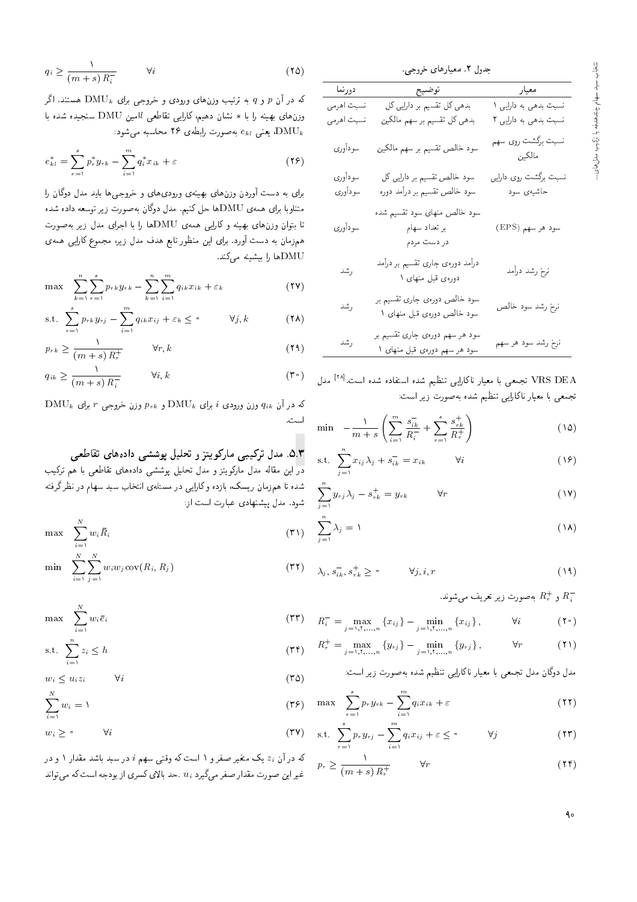|            | جدول ۲. معیارهای خروجی.                                        |                              |
|------------|----------------------------------------------------------------|------------------------------|
| دورنما     | توضيح                                                          | معيار                        |
| نسبت أهرمي | بدهی کل تقسیم بر دارایی کل                                     | نسبت بدهی به دارایی ۱        |
| نسبت اهرمى | بدهی کل تقسیم بر سهم مالکین                                    | نسبت بدهی به دارایی ۲        |
| سودأوري    | سود خالص تقسیم بر سهم مالکین                                   | نسبت برگشت روی سهم<br>مالكين |
| سودأوري    | سود خالص تقسیم بر دارایی کل                                    | نسبت برگشت روی دارایی        |
| سودأوري    | سود خالص تقسیم بر درآمد دوره                                   | حاشيەي سود                   |
| سوداورى    | سود خالص منهای سود تقسیم شده<br>بر تعداد سهام<br>در دست مردم   | سود هر سهم (EPS)             |
| رشد        | درآمد دورهى جارى تقسيم بر درآمد<br>دورهی قبل منهای ۱           | نرخ رشد درآمد                |
| رشد        | سود خالص دورهی جاری تقسیم بر<br>سود خالص دورهی قبل منهای ۱     | نرخ رشد سود خالص             |
| رشد        | سود هر سهم دورهی جاری تقسیم بر<br>سود هر سهم دورهی قبل منهای ۱ | نرخ رشد سود هر سهم           |

VRS DEA تجمعی با معیار ناکارایی تنظیم شده استفاده شده است.<sup>[۲۸]</sup> مدل تجمعی با معیار ناکارایی تنظیم شده بهصورت زیر است:

$$
\min \quad -\frac{1}{m+s} \left( \sum_{i=1}^{m} \frac{s_{ik}^-}{R_i^-} + \sum_{r=1}^{s} \frac{s_{rk}^+}{R_r^+} \right) \tag{12}
$$

$$
\text{s.t. } \sum_{j=1}^{n} x_{ij} \lambda_j + s_{ik}^- = x_{ik} \qquad \forall i \qquad (18)
$$

$$
\sum_{j=1}^{n} y_{rj} \lambda_j - s_{rk}^{+} = y_{rk} \qquad \forall r \qquad (1)
$$

$$
\sum_{j=1}^{n} \lambda_j = 1 \tag{14}
$$

$$
\lambda_j, s_{ik}^-, s_{rk}^+ \ge \circ \qquad \forall j, i, r \tag{14}
$$

بهصورت زیر تعریف می شوند.  $R_r^+$  به صورت زیر تعریف می

$$
R_i^- = \max_{j=1,1,\dots,n} \left\{ x_{ij} \right\} - \min_{j=1,1,\dots,n} \left\{ x_{ij} \right\}, \qquad \forall i \qquad (\Upsilon \circ)
$$

$$
R_r^+ = \max_{j=1,1,\dots,n} \left\{ y_{rj} \right\} - \min_{j=1,1,\dots,n} \left\{ y_{rj} \right\}, \qquad \forall r \qquad (\text{1})
$$

مدل دوگان مدل تجمعی با معیار ناکارایی تنظیم شده بهصورت زیر است:

$$
\max \sum_{r=1}^{s} p_r y_{rk} - \sum_{i=1}^{m} q_i x_{ik} + \varepsilon \tag{Y1}
$$

$$
\text{s.t. } \sum_{r=1}^{s} p_r y_{rj} - \sum_{i=1}^{m} q_i x_{ij} + \varepsilon \leq \bullet \qquad \forall j \tag{Y7}
$$

$$
p_r \ge \frac{1}{(m+s) R_r^+} \qquad \forall r \tag{15}
$$

$$
q_i \ge \frac{1}{(m+s)R_i^-} \qquad \forall i
$$
 (10)

که در آن  $p$  و  $p$  به ترتیب وزن $d$ ای ورودی و خروجی برای  $\mathrm{DMU}_k$  هستند. اگر وزن های بهینه را با \* نشان دهیم، کارایی تقاطعی lامین DMU سنجیده شده با ، بعنی  $e_{kl}$  بهصورت رابطهی ۲۶ محاسبه میشود.  $\mathrm{DMU}_k$ 

$$
e_{kl}^* = \sum_{r=1}^s p_r^* y_{rk} - \sum_{i=1}^m q_i^* x_{ik} + \varepsilon
$$
 (17)

برای به دست آوردن وزنهای بهینهی ورودیهای و خروجهیها باید مدل دوگان را متناوبا برای همهی DMUها حل کنیم. مدل دوگان بهصورت زیر توسعه داده شده تا بتوان وزن های بهینه و کارایی همهی DMUها را با اجرای مدل زیر به صورت همزمان به دست آورد. برای این منظور تابع هدف مدل زیر، مجموع کارایی همهی DMUها را بیشینه میکند.

$$
\max \sum_{k=1}^{n} \sum_{r=1}^{s} p_{rk} y_{rk} - \sum_{k=1}^{n} \sum_{i=1}^{m} q_{ik} x_{ik} + \varepsilon_k
$$
 (YV)

$$
\text{s.t. } \sum_{r=1}^{s} p_{rk} y_{rj} - \sum_{i=1}^{m} q_{ik} x_{ij} + \varepsilon_k \leq \text{°} \qquad \forall j, k \tag{(\Upsilon \Lambda)}
$$

$$
p_{rk} \ge \frac{1}{(m+s) R_r^+} \qquad \forall r, k \tag{14}
$$

$$
q_{ik} \ge \frac{1}{(m+s) R_i^-} \qquad \forall i, k \qquad (\mathbf{r} \cdot)
$$

 $\mathrm{DMU}_k$  که در آن  $q_{ik}$  وزن ورودی  $i$  برای  $\mathrm{DMU}_k$  و  $p_{rk}$  وزن خروجی  $r$  برای است.

#### ۵.۳. مدل ترکیبی مارکویتز و تحلیل پوششی دادههای تقاطعی

در این مقاله مدل مارکویتز و مدل تحلیل پوششی دادههای تقاطعی با هم ترکیب .<br>شده تا همزمان ریسک، بازده وکارای<sub>ی</sub> در مسئلهی انتخاب سبد سهام در نظرگرفته شود. مدل پیشنهادی عبارت است از:

$$
\max \sum_{i=1}^{N} w_i \bar{R}_i \tag{71}
$$

$$
\min \sum_{i=1}^{N} \sum_{j=1}^{N} w_i w_j \text{cov}(R_i, R_j) \tag{77}
$$

$$
\max \sum_{i=1}^{N} w_i \bar{e}_i \tag{TT}
$$

$$
\text{s.t. } \sum_{i=1}^{n} z_i \le h \tag{77}
$$

$$
w_i \le u_i z_i \qquad \forall i \qquad (\mathbf{7}\Delta)
$$

$$
\sum_{i=1}^{N} w_i = 1
$$
 (79)  

$$
w_i \geq 2
$$
  $\forall i$  (79)

 $40$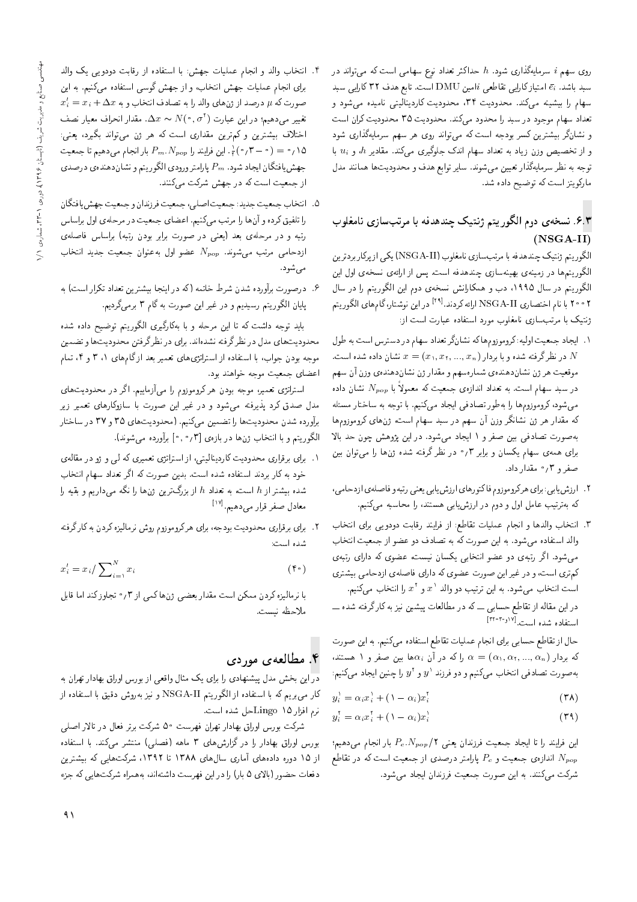روی سهم i سرمایهگذاری شود. h حداکثر تعداد نوع سهامی است که می تواند در سبد باشد.  $\bar{e_i}$  امتیازکارایی تقاطعی  $i$ امین  ${\rm DMU}$  است. تابع هدف ۳۲ کارایی سبد سهام را بیشینه میکند. محدودیت ۳۴، محدودیت کاردینالیتی نامیده میشود و تعداد سهام موجود در سبد را محدود مىكند. محدوديت ٣٥ محدوديت كران است و نشانگر بیشترین کسر بودجه است که می تواند روی هر سهم سرمایهگذاری شود و از تخصیص وزن زیاد به تعداد سهام اندک جلوگیری میکند. مقادیر h، و ui با توجه به نظر سرمایهگذار تعیین میشوند. سایر توابع هدف و محدودیتها همانند مدل ماركويتز است كه توضيح داده شد.

## ۶.۳. نسخه ی دوم الگوریتم ژنتیک چندهدفه با مرتبسازی نامغلوب  $(NSGA-II)$

الگوريتم ژنتيک چندهدفه با مرتبسازي نامغلوب (NSGA-II) يکي از يرکار بردترين الگوریتمها در زمینهی بهینهسازی چندهدفه است. پس از ارائهی نسخهی اول این الگوریتم در سال ۱۹۹۵، دب و همکارانش نسخهی دوم این الگوریتم را در سال ۲۰۰۲ با نام اختصاری NSGA-II ارائه کردند.<sup>[۲۹]</sup> در این نوشتار،گامهای الگوریتم ژنتیک با مرتب سازی نامغلوب مورد استفاده عبارت است از:

- ١. ايجاد جمعيت اوليه: كروموزوم هاكه نشانكر تعداد سهام در دسترس است به طول موقعیت هر ژن نشاندهندهی شمارهسهم و مقدار ژن نشاندهندهی وزن آن سهم در سبد سهام است. به تعداد اندازهی جمعیت که معمولاً با  $N_{pop}$  نشان داده می شود، کروموزوم ها را به طور تصادفی ایجاد میکنیم. با توجه به ساختار مسئله که مقدار هر ژن نشانگر وزن آن سهم در سبد سهام است، ژنهای کروموزومها بهصورت تصادفی بین صفر و ۱ ایجاد میشود. در این پژوهش چون حد بالا برای همهءی سهام یکسان و برابر ۰٫۳ در نظرگرفته شده ژن&ا را میتوان بین صفر و ۰٫۳ مقدار داد.
- ۲ . ارزش یابی: برای هرکروموزوم فاکتورهای ارزش یابی یعنی رتبه و فاصلهی ازدحامی، که بهترتیب عامل اول و دوم در ارزشیابی هستند، را محاسبه میکنیم.
- ٣. انتخاب والدها و انجام عمليات تقاطع: از فرايند رقابت دودويي براى انتخاب والد استفاده میشود. به این صورت که به تصادف دو عضو از جمعیت انتخاب میشود. اگر رتبهی دو عضو انتخابی یکسان نیست، عضوی که دارای رتبهی کم تری است، و در غیر این صورت عضوی که دارای فاصلهی ازدحامی بیشتری است انتخاب میشود. به این ترتیب دو والد ۵٬ و ۳ را انتخاب میکنیم. در این مقاله از تقاطع حسابی ـــ که در مطالعات پیشین نیز به کارگرفته شده ـــ استفاده شده است. [۱۷ د-۲۲-۲۲]

حال از تقاطع حسابی برای انجام عملیات تقاطع استفاده میکنیم. به این صورت که بردار (  $\alpha$ ,,  $\alpha$ ,,  $\alpha$ ,,  $\alpha_n$  ) را که در آن  $\alpha$ ها بین صفر و ۱ هستند، بهصورت تصادفي انتخاب مىكنيم و دو فرزند  $y^+$  و  $y^+$  را چنين ايجاد مىكنيم:

$$
y_i^{\lambda} = \alpha_i x_i^{\lambda} + (\lambda - \alpha_i) x_i^{\dagger} \tag{7\lambda}
$$

$$
y_i^{\dagger} = \alpha_i x_i^{\dagger} + (\mathbf{1} - \alpha_i) x_i^{\dagger} \tag{74}
$$

این فرایند را تا ایجاد جمعیت فرزندان یعنی ۲/ Pc.Npop بار انجام میدهیم؛ اندازهی جمعیت و  $P_c$  پارامتر درصدی از جمعیت است که در تقاطع  $N_{pop}$ شرکت میکنند. به این صورت جمعیت فرزندان ایجاد میشود.

- ۴. انتخاب والد و انجام عملیات جهش: با استفاده از رقابت دودویی یک والد برای انجام عملیات جهش انتخاب، و از جهش گوسی استفاده میکنیم. به این  $x'_i = x_i + \Delta x$  حمورت که  $\mu$  درصد از ژنهای والد را به تصادف انتخاب و به تغییر میدهیم؛ در این عبارت ( ^ , o ^ )  $\Delta x \thicksim N(\circ, \sigma^{\dagger})$  . مقدار انحراف معیار نصف اختلاف بیشترین و کمترین مقداری است که هر ژن میتواند بگیرد، یعنی: ا بن فرایند را  $P_m$ . این فرایند را  $P_m$  بار انجام میدهیم تا جمعیت $\frac{1}{r}(\cdot \sigma) = \frac{1}{r}(\sigma \sigma) = \frac{1}{r}$ جهش افتگان ایجاد شود.  $P_m$  پارامتر ورودی الگوریتم و نشاندهندهی درصدی از جمعیت است که در جهش شرکت میکنند.
- ۵. انتخاب جمعیت جدید: جمعیت اصلبي، جمعیت فرزندان و جمعیت جهش یافتگان را تلفیق کرده و آنها را مرتب میکنیم. اعضای جمعیت در مرحلهی اول براساس رتبه و در مرحلهى بعد (يعنى در صورت برابر بودن رتبه) براساس فاصلهى ازدحامی مرتب میشوند.  $N_{pop}$  عضو اول به عنوان جمعیت جدید انتخاب مے شود.
- ۶. درصورت برآورده شدن شرط خاتمه (که در اینجا بیشترین تعداد تکرار است) به پایان الگوریتم رسیدیم و در غیر این صورت به گام ۳ برمیگردیم.

باید توجه داشت که تا این مرحله و با بهکارگیری الگوریتم توضیح داده شده محدودیت های مدل در نظرگرفته نشدهاند. برای در نظرگرفتن محدودیت ها و تضمین موجه بودن جواب، با استفاده از استراتزی۵ای تعمیر بعد ازگام۱های ۳،۱ و ۴، تمام اعضای جمعیت موجه خواهند بود.

استراتژی تعمیر، موجه بودن هرکرروموزوم را می آزماییم. اگر در محدودیتهای .<br>مدل صدق کرد پذیرفته می شود و در غیر این صورت با سازوکارهای تعمیر زیر برآورده شدن محدودیتها را تضمین میکنیم. (محدودیتهای ۳۵ و ۳۷ در ساختار الكوريتم و با انتخاب ژنها در بازهى [۰٫۰٫۳] برآورده مى شوند).

- ۰۱ برای برقراری محدودیت کاردینالیتی، از استراتژی تعمیری که لمی و ژو در مقالهی خود به کار بردند استفاده شده است. بدین صورت که اگر تعداد سهام انتخاب شده بیشتر از h است، به تعداد h از بزرگ ترین ژنها را نگه میداریم و بقیه را معادل صفر قرار می دهیم. <sup>[۱۷]</sup>
- ۲ . برای برقراری محدودیت بودجه، برای هرکروموزوم روش نرمالیزه کردن به کارگرفته شده است:

$$
x_i' = x_i / \sum_{i=1}^{N} x_i
$$
 (†

با نرمالیزه کردن ممکن است مقدار بعضبی ژنها کمی از ۰٫۳ تجاوزکند اما قابل ملاحظه نيست.

# ۴. مطالعهی موردی

در این بخش مدل پیشنهادی را برای یک مثال واقعی از بورس اوراق بهادار تهران به کار می,بریم که با استفاده از الگوریتم NSGA-II و نیز بهروش دقیق با استفاده از نرم افزار Lingo \ ۵ مل شده است.

شرکت بورس اوراق بهادار تهران فهرست ۵۰ شرکت برتر فعال در تالار اصلبی بورس اوراق بهادار را در گزارش های ۳ ماهه (فصلی) منتشر میکند. با استفاده از ١٥ دوره دادههاى آمارى سال هاى ١٣٨٨ تا ١٣٩٢، شركت هايى كه بيشترين دفعات حضور (بالای ۵ بار) را در این فهرست داشتهاند، بههمراه شرکتهایی که جزء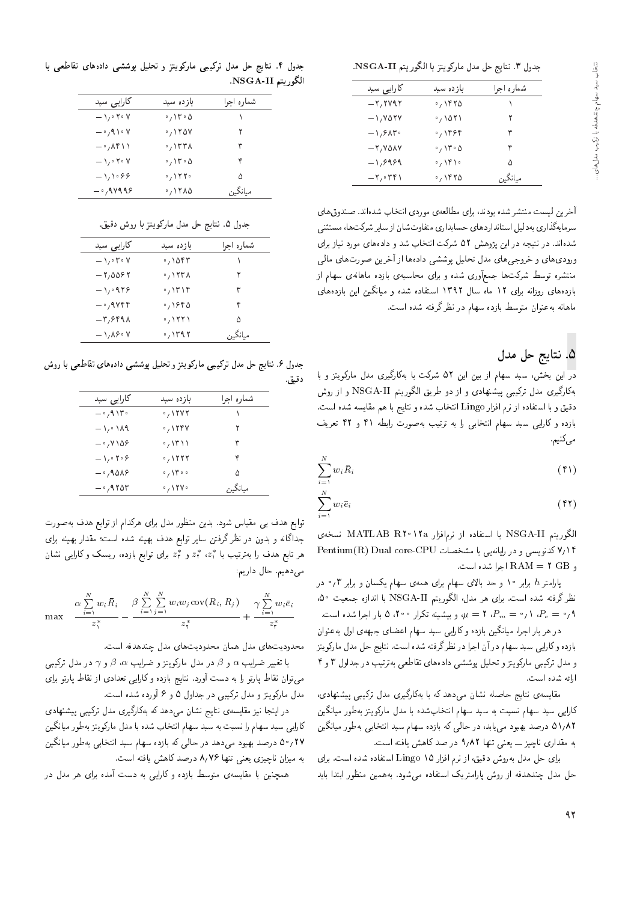جدول ٣. نتايج حل مدل ماركويتز با الكوريتم NSGA-II.

| کارایی سبد                                | بازده سبد      | شماره احرا |
|-------------------------------------------|----------------|------------|
| $-\tau$ , ۲۷۹۲                            | ٬٫۱۴۲۵         |            |
| $-1.701Y$                                 | ۰٫۱۵۲۱         |            |
| $-\sqrt{2}$                               | $\cdot$ , ۱۴۶۴ | ٣          |
| $-7,700V$                                 | ۰٬ ۱۳۰۵        | ۴          |
| $-1,9999$                                 | ۱۴۱۰ زه        | ۵          |
| $-\mathsf{r},\cdot\mathsf{r}\mathsf{r}$ ) | ٬٬۱۴۲۵         | مىانگىن    |
|                                           |                |            |

آخرین لیست منتشر شده بودند، برای مطالعهی موردی انتخاب شدهاند. صندوق های<br>سرمایهگذاری بهدلیل استانداردهای حسابداری متفاوتشان از سایر شرکتها، مستثنی سرمایهداری به دلیل استانداردهای حسابداری متفاوت سان از سایر سرتمندها، مستنبی<br>میباشد |=Q@ R=}v OQwt |=yxO=O w OW ?=NDv= CmQW 52 VywSBu}= QO xH}Dv QO "Ov=xOW ورودي هاي و خروجي هاي مدل تحليل يوششي دادهها از آخرين صورت هاي مالي منتشره توسط شرکتها جمعأوری شده و برای محاسبهی بازده ماهانهی سهام از بازدههای روزانه برای ١٢ ماه سال ١٣٩٢ استفاده شده و میانگین این بازدههای ماهانه بهعنوان متوسط بازده سهام در نظرگرفته شده است.

# 0. نتايج حل مدل

در این بخش، سبد سهام از بین این ۵۲ شرکت با بهکارگیری مدل مارکویتز و با بهکارگیری مدل ترکیبی پیشنهادی و از دو طریق الگوریتم NSGA-II و از روش دقيق و با استفاده از نرم افزار Lingo انتخاب شده و نتايج با هم مقايسه شده است. بازده وكارايي سبد سهام انتخابي را به ترتيب بهصورت رابطه ۴۱ و ۴۲ تعريف مى كنيم.

$$
\sum_{i=1}^{N} w_i \bar{R}_i \tag{f1}
$$

$$
\sum_{i=1}^{N} w_i \bar{e}_i \tag{f1}
$$

الكوريتم NATLAB R10 11a با استفاده از نرمافزار MATLAB R10 iva نسخهى Pentium(R) Dual core-CPU كدنويسى و در رايانهيى با مشخصات و RAM = ٢ GB اجرا شده است.

پارامتر h برابر ۱۰ و حد بالای سهام برای همهی سهام یکسان و برابر ۰٫۳ در نظر گرفته شده است. برای هر مدل، الگوریتم NSGA-II با اندازه جمعیت ۵۰، "Cu=  $P_m = P_m$  (  $\gamma \circ P_m = P_m$  ) و بیشینه تکرار ۵٬۲۰۰ بار اجرا شده است.

در هر بار اجرا، میانگین بازده وکارایی سبد سهام اعضای جبههی اول بهعنوان بازده وكارايي سبد سهام در آن اجرا در نظرگرفته شده است. نتايج حل مدل ماركويتز و مدل ترکیبی مارکویتزو تحلیل پوششی دادههای تقاطعی بهترتیب در جداول ۳ و ۴ ارائه شده است.

مقایسه ی نتایج حاصله نشان میدهد که با بهکارگیری مدل ترکیبی پیشنهادی. کارایی سبد سهام نسبت به سبد سهام انتخابشده با مدل مارکویتز بهطور میانگین ۵۱٫۸۲ درصد بهبود <sub>می</sub>یابد، در حال<sub>می</sub> که بازده سهام سبد انتخابی بهطور میانگین به مقدارى ناچيز \_\_ يعنى تنها ٩/٨٢ در صد كاهش يافته است.

برای حل مدل بهروش دقیق، از نرم افزار ۱۵ Lingo استفاده شده است. برای حل مدل چندهدفه از روش پارامتریک استفاده میشود. بههمین منظور ابتدا باید

جدول ۴. نتایج حل مدل ترکیبی مارکویتز و تحلیل یوششی دادههای تقاطعی با الگوريتم NSGA-II.

| کارایی سبد                                | بازده سبد                       | شماره احرا |
|-------------------------------------------|---------------------------------|------------|
| $-\iota/\circ \mathtt{Y}\circ \mathtt{Y}$ | ۰٬ ۱۳۰۵                         |            |
| $ \cdot$ , 9 \ $\cdot$ Y                  | $\cdot$ , ۱۲۵۷                  | ۲          |
| $-\cdot$ , $\wedge$ ۴۱۱                   | ٬٫۱۳۳۸                          | ٣          |
| $-\iota/\circ \mathtt{Y}\circ \mathtt{Y}$ | ۰٬ ۱۳۰۵                         | ۴          |
| $-\frac{1}{2}$                            | $\cdot$ / $\uparrow$ $\uparrow$ | ۵          |
| $ \cdot$ , 9 $\vee$ 9 9 $\circ$           | $\cdot$ , ۱۲۸۵                  | مىانگىن    |

جدول ۵. نتايج حل مدل ماركويتز با روش دقيق.

| کارایی سبد                  | بازده سبد       | شماره اجرا |
|-----------------------------|-----------------|------------|
| $-\lambda$ of $\circ$ Y     | ۰٬۱۵۴۳          |            |
| $-7,0087$                   | <b>。ハ ۲ ۳ ハ</b> | ٢          |
| $-1.0979$                   | ٬۱۳۱۴           | ٣          |
| $ \cdot$ , 9 $\vee$ ۴ ۴     | ٬٫۱۶۴۵          | ۴          |
| $-\mathsf{r},\mathsf{SFAA}$ | ・ ハ ٢ ٢ ١       | ۵          |
| $-\lambda/\lambda$ ۶۰۷      | ٬٫۱۳۹۲          | ميانگس     |
|                             |                 |            |

جدول ۶. نتایج حل مدل ترکیبی مارکویتز و تحلیل پوششی دادههای تقاطعی با روش دقيق.

| کارایی سبد                                 | بازده سبد                                                 | شماره اجرا |
|--------------------------------------------|-----------------------------------------------------------|------------|
| $-\cdot$ , 9 ) $\Gamma$ $\cdot$            | $\cdot$ , $\setminus$ $\setminus$ $\setminus$ $\setminus$ |            |
| $-1$ , $\cdot$ ) $\lambda$ 9               | $\cdot$ , $\setminus$ $\setminus$ $\setminus$             | ۲          |
| $-\cdot$ , $\vee$ \ $\Delta$ $\circ$       | ۰٫۱۳۱۱                                                    | ٣          |
| $-\lambda$ $\cdot$ $\cdot$ $\cdot$ $\cdot$ | $\cdot$ , $\setminus$ $\setminus$ $\setminus$ $\setminus$ | ۴          |
| $-$ 018, $-$                               | $\circ$ , $\setminus$ $\uparrow$ $\circ$ $\circ$          | ۵          |
| $-$ 0,9705                                 | $\cdot$ , $\setminus$ ۲۷ $\cdot$                          | ميانگين    |

توابع هدف بی مقیاس شود. بدین منظور مدل برای هرکدام از توابع هدف به صورت جداگانه و بدون در نظر گرفتن سایر توابع هدف بهینه شده است؛ مقدار بهینه برای هر تابع هدف را بهترتیب با ڈ≈، ‡≈ و ‡≈ برای توابع بازدہ، ریسک و کارایی نشان<br>'' میدهیم. حال داریم:

$$
\max \frac{\alpha \sum\limits_{i=1}^N w_i \overline{R}_i}{z_1^*} - \frac{\beta \sum\limits_{i=1}^N \sum\limits_{j=1}^N w_i w_j \text{cov}(R_i, R_j)}{z_1^*} + \frac{\gamma \sum\limits_{i=1}^N w_i \overline{e}_i}{z_r^*}
$$

محدوديت هاى مدل همان محدوديت هاى مدل چندهدفه است.

با تغییر ضرایب  $\alpha$  و  $\beta$  در مدل مارکویتزو ضرایب  $\alpha$ ،  $\beta$  و  $\gamma$  در مدل ترکیبی می توان نقاط پارتو را به دست آورد. نتایج بازده و کارایی تعدادی از نقاط پارتو برای مدل مارکویتز و مدل ترکیبی در جداول ۵ و ۶ آورده شده است.

در اینجا نیز مقایسهی نتایج نشان می،دهد که بهکارگیری مدل ترکیبی پیشنهادی کارایی سبد سهام را نسبت به سبد سهام انتخاب شده با مدل مارکویتز بهطور میانگین ۰٫۲۷ درصد بهبود میدهد در حالی که بازده سهام سبد انتخابی بهطور میانگین به ميزان ناچيزى يعنى تنها ٨/٧۶ درصد كاهش يافته است.

همچنین با مقایسه، متوسط بازده و کارایی به دست آمده برای هر مدل در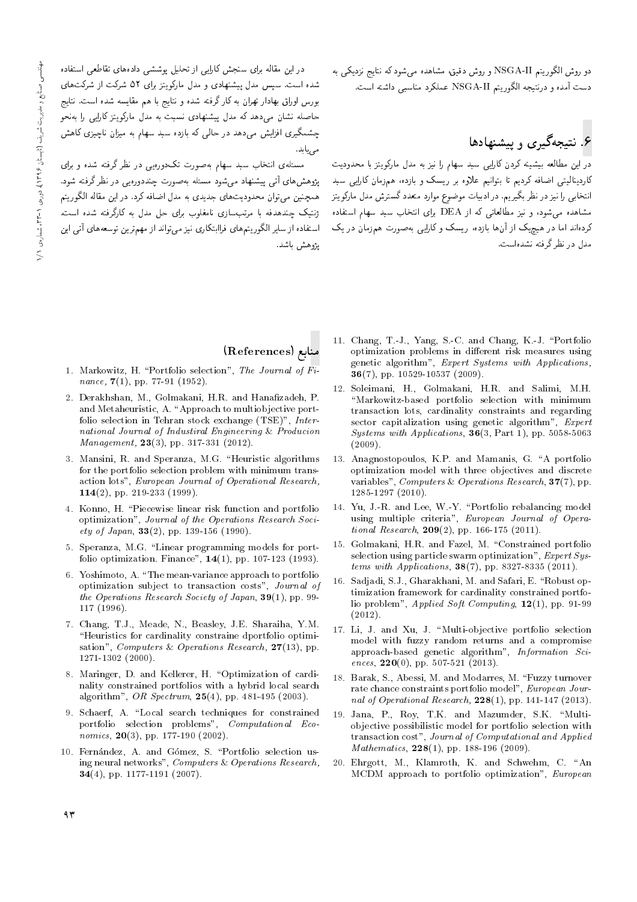دو روش الگوريتم NSGA-II و روش دقيق، مشاهده مي شود كه نتايج نزديكي به دست آمده و درنتیجه الگوریتم NSGA-II عملکرد مناسبی داشته است.

# ع<br>۶. نتیجهگیری و پیشنهادها

در این مطالعه بیشینه کردن کارایی سبد سهام را نیز به مدل مارکویتز با محدودیت کاردینالیتی اضافه کردیم تا بتوانیم علاوه بر ریسک و بازده، همزمان کارایی سبد انتخابي را نيز در نظر بگيريم. در ادبيات موضوع موارد متعدد گسترش مدل ماركويتز مشاهده می شود، و نیز مطالعاتی که از DEA برای انتخاب سبد سهام استفاده کردهاند اما در هیچیک از آنها بازده، ریسک و کارایی بهصورت همزمان در یک مدل در نظر گرفته نشدهاست.

در این مقاله برای سمجس تارایی از تحلیل پوسسی دادههای تفاطعی استفاده<br>ا سده است. سپس مدل پیسپادی و مدل ماردویتز برای ۵۱ سرتت از سرت های<br>اسلام است اسلسمان کارگزید و در است است. بورس اوراق بهادار تهران به كار گرفته شده و نتايج با هم مقايسه شده است. نتايج حاصله نشان می<mark>،دهد که مدل پیشنهادی نسبت</mark> به مدل مارکویتز کارایی را بهنحو چشمگیری افزایش میدهد در حال<sub>می</sub> که بازده سبد سهام به میزان ناچیزی کاهش<br><sub>صی ب</sub>ابد.

مسئلهی انتخاب سبد سهام بهصورت تکدورهیی در نظرگرفته شده و برای يژوهش،اى آتى پيشنهاد مى شود مسئله بهصورت چنددورەيى در نظر گرفته شود. پڙوهس@ی آئی پیستهاد می سود مسته به صورت چمددورهيی در نظر درقته سود.<br>استفاده همچنین می توان محدودیت های جدیدی به مدل اصافه درد. در این مقاله الدورینم<br>مدیم مصدر مستقل است. ژنتیک چندهدفه با مرتب سازی نامغلوب برای حل مدل به کارگرفته شده است. استفاده از سایر الگوریتمهای فراابتکاری نیز می تواند از مهمترین توسعههای آتی این يژوهش باشد.

## References) منابع

- 1. Markowitz, H. "Portfolio selection", The Journal of  $Fi$ nance,  $7(1)$ , pp. 77-91 (1952).
- 2. Derakhshan, M., Golmakani, H.R. and Hanafizadeh, P. and Metaheuristic, A. "Approach to multiobjective portfolio selection in Tehran stock exchange (TSE)", International Journal of Industiral Engineering & Producion Management, **23**(3), pp. 317-331 (2012).
- 3. Mansini, R. and Speranza, M.G. "Heuristic algorithms for the portfolio selection problem with minimum transaction lots", European Journal of Operational Research, 114(2), pp. 219-233 (1999).
- 4. Konno, H. \Piecewise linear risk function and portfolio optimization", Journal of the Operations Research Society of Japan,  $33(2)$ , pp. 139-156 (1990).
- 5. Speranza, M.G. "Linear programming models for portfolio optimization. Finance", 14(1), pp. 107-123 (1993).
- 6. Yoshimoto, A. \The mean-variance approach to portfolio optimization subject to transaction costs", Journal of the Operations Research Society of Japan,  $39(1)$ , pp. 99-117 (1996).
- 7. Chang, T.J., Meade, N., Beasley, J.E. Sharaiha, Y.M. "Heuristics for cardinality constraine dportfolio optimisation", Computers & Operations Research,  $27(13)$ , pp. 1271-1302 (2000).
- 8. Maringer, D. and Kellerer, H. "Optimization of cardinality constrained portfolios with a hybrid local search algorithm", OR Spectrum, 25(4), pp. 481-495 (2003).
- 9. Schaerf, A. "Local search techniques for constrained portfolio selection problems", Computational Economics,  $20(3)$ , pp. 177-190 (2002).
- 10. Fernández, A. and Gómez, S. "Portfolio selection using neural networks", Computers & Operations Research, 34(4), pp. 1177-1191 (2007).
- 11. Chang, T.-J., Yang, S.-C. and Chang, K.-J. \Portfolio optimization problems in different risk measures using genetic algorithm", Expert Systems with Applications, **36**(7), pp. 10529-10537 (2009).
- 12. Soleimani, H., Golmakani, H.R. and Salimi, M.H. "Markowitz-based portfolio selection with minimum transaction lots, cardinality constraints and regarding sector capitalization using genetic algorithm", Expert Systems with Applications, 36(3, Part 1), pp. 5058-5063 (2009).
- 13. Anagnostopoulos, K.P. and Mamanis, G. "A portfolio optimization model with three objectives and discrete variables", Computers & Operations Research, 37(7), pp. 1285-1297 (2010).
- 14. Yu, J.-R. and Lee, W.-Y. \Portfolio rebalancing model using multiple criteria", European Journal of Operational Research,  $209(2)$ , pp. 166-175 (2011).
- 15. Golmakani, H.R. and Fazel, M. \Constrained portfolio selection using particle swarm optimization", Expert Systems with Applications, 38(7), pp. 8327-8335 (2011).
- 16. Sadjadi, S.J., Gharakhani, M. and Safari, E. "Robust optimization framework for cardinality constrained portfolio problem", Applied Soft Computing, 12(1), pp. 91-99 (2012).
- 17. Li, J. and Xu, J. "Multi-objective portfolio selection model with fuzzy random returns and a compromise approach-based genetic algorithm", Information Sciences,  $220(0)$ , pp. 507-521 (2013).
- 18. Barak, S., Abessi, M. and Modarres, M. \Fuzzy turnover rate chance constraints portfolio model", European Journal of Operational Research,  $228(1)$ , pp. 141-147 (2013).
- 19. Jana, P., Roy, T.K. and Mazumder, S.K. "Multiobjective possibilistic model for portfolio selection with transaction cost", Journal of Computational and Applied Mathematics,  $228(1)$ , pp. 188-196 (2009).
- 20. Ehrgott, M., Klamroth, K. and Schwehm, C. "An MCDM approach to portfolio optimization", European